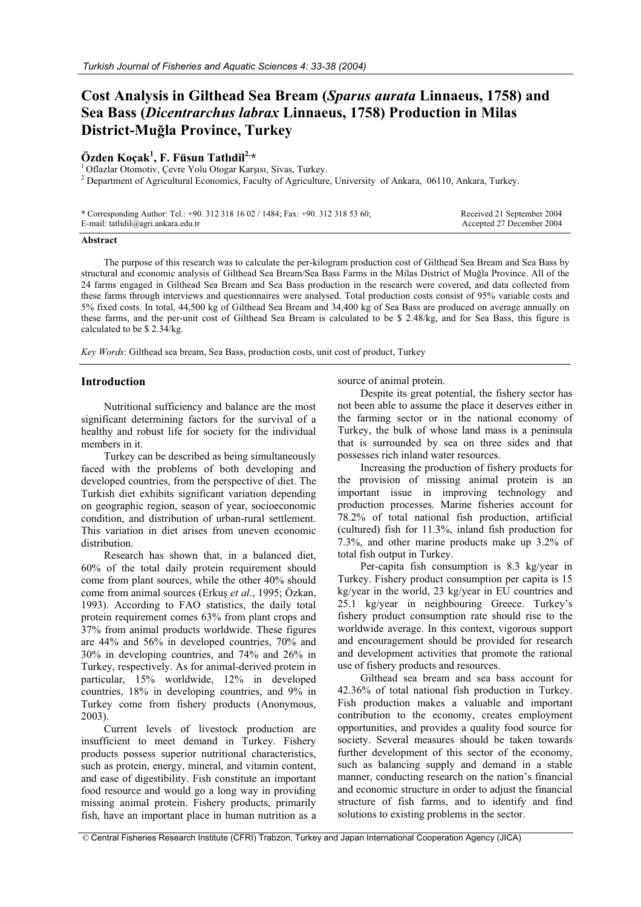# **Cost Analysis in Gilthead Sea Bream (***Sparus aurata* **Linnaeus, 1758) and Sea Bass (***Dicentrarchus labrax* **Linnaeus, 1758) Production in Milas District-Mu÷la Province, Turkey**

## **Özden Koçak1 , F. Füsun Tatlıdil2,\***

 $1$  Oflazlar Otomotiv, Cevre Yolu Otogar Karsısı, Sivas, Turkey. <sup>2</sup> Department of Agricultural Economics, Faculty of Agriculture, University of Ankara, 06110, Ankara, Turkey.

| * Corresponding Author: Tel.: +90. 312 318 16 02 / 1484; Fax: +90. 312 318 53 60; | Received 21 September 2004 |
|-----------------------------------------------------------------------------------|----------------------------|
| E-mail: tatlidil@agri.ankara.edu.tr                                               | Accepted 27 December 2004  |

#### **Abstract**

The purpose of this research was to calculate the per-kilogram production cost of Gilthead Sea Bream and Sea Bass by structural and economic analysis of Gilthead Sea Bream/Sea Bass Farms in the Milas District of Muğla Province. All of the 24 farms engaged in Gilthead Sea Bream and Sea Bass production in the research were covered, and data collected from these farms through interviews and questionnaires were analysed. Total production costs consist of 95% variable costs and 5% fixed costs. In total, 44,500 kg of Gilthead Sea Bream and 34,400 kg of Sea Bass are produced on average annually on these farms, and the per-unit cost of Gilthead Sea Bream is calculated to be \$ 2.48/kg, and for Sea Bass, this figure is calculated to be \$ 2.34/kg.

*Key Words*: Gilthead sea bream, Sea Bass, production costs, unit cost of product, Turkey

## **Introduction**

Nutritional sufficiency and balance are the most significant determining factors for the survival of a healthy and robust life for society for the individual members in it.

Turkey can be described as being simultaneously faced with the problems of both developing and developed countries, from the perspective of diet. The Turkish diet exhibits significant variation depending on geographic region, season of year, socioeconomic condition, and distribution of urban-rural settlement. This variation in diet arises from uneven economic distribution.

Research has shown that, in a balanced diet, 60% of the total daily protein requirement should come from plant sources, while the other 40% should come from animal sources (Erkuş *et al.*, 1995; Özkan, 1993). According to FAO statistics, the daily total protein requirement comes 63% from plant crops and 37% from animal products worldwide. These figures are 44% and 56% in developed countries, 70% and 30% in developing countries, and 74% and 26% in Turkey, respectively. As for animal-derived protein in particular, 15% worldwide, 12% in developed countries, 18% in developing countries, and 9% in Turkey come from fishery products (Anonymous, 2003).

Current levels of livestock production are insufficient to meet demand in Turkey. Fishery products possess superior nutritional characteristics, such as protein, energy, mineral, and vitamin content, and ease of digestibility. Fish constitute an important food resource and would go a long way in providing missing animal protein. Fishery products, primarily fish, have an important place in human nutrition as a source of animal protein.

Despite its great potential, the fishery sector has not been able to assume the place it deserves either in the farming sector or in the national economy of Turkey, the bulk of whose land mass is a peninsula that is surrounded by sea on three sides and that possesses rich inland water resources.

Increasing the production of fishery products for the provision of missing animal protein is an important issue in improving technology and production processes. Marine fisheries account for 78.2% of total national fish production, artificial (cultured) fish for 11.3%, inland fish production for 7.3%, and other marine products make up 3.2% of total fish output in Turkey.

Per-capita fish consumption is 8.3 kg/year in Turkey. Fishery product consumption per capita is 15 kg/year in the world, 23 kg/year in EU countries and 25.1 kg/year in neighbouring Greece. Turkey's fishery product consumption rate should rise to the worldwide average. In this context, vigorous support and encouragement should be provided for research and development activities that promote the rational use of fishery products and resources.

Gilthead sea bream and sea bass account for 42.36% of total national fish production in Turkey. Fish production makes a valuable and important contribution to the economy, creates employment opportunities, and provides a quality food source for society. Several measures should be taken towards further development of this sector of the economy, such as balancing supply and demand in a stable manner, conducting research on the nation's financial and economic structure in order to adjust the financial structure of fish farms, and to identify and find solutions to existing problems in the sector.

© Central Fisheries Research Institute (CFRI) Trabzon, Turkey and Japan International Cooperation Agency (JICA)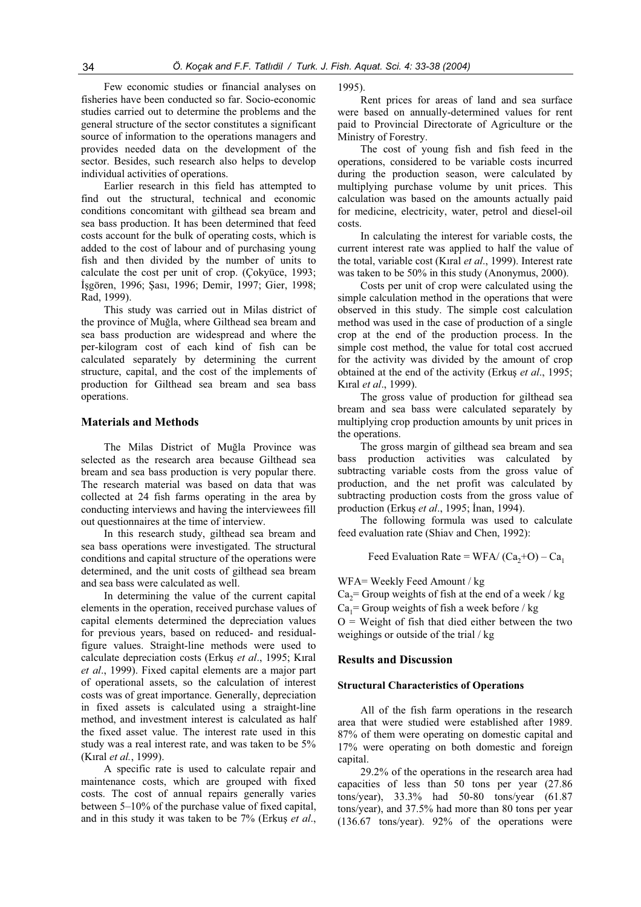Few economic studies or financial analyses on fisheries have been conducted so far. Socio-economic studies carried out to determine the problems and the general structure of the sector constitutes a significant source of information to the operations managers and provides needed data on the development of the sector. Besides, such research also helps to develop individual activities of operations.

Earlier research in this field has attempted to find out the structural, technical and economic conditions concomitant with gilthead sea bream and sea bass production. It has been determined that feed costs account for the bulk of operating costs, which is added to the cost of labour and of purchasing young fish and then divided by the number of units to calculate the cost per unit of crop. (Çokyüce, 1993; İşgören, 1996; Şası, 1996; Demir, 1997; Gier, 1998; Rad, 1999).

This study was carried out in Milas district of the province of Muğla, where Gilthead sea bream and sea bass production are widespread and where the per-kilogram cost of each kind of fish can be calculated separately by determining the current structure, capital, and the cost of the implements of production for Gilthead sea bream and sea bass operations.

## **Materials and Methods**

The Milas District of Muğla Province was selected as the research area because Gilthead sea bream and sea bass production is very popular there. The research material was based on data that was collected at 24 fish farms operating in the area by conducting interviews and having the interviewees fill out questionnaires at the time of interview.

In this research study, gilthead sea bream and sea bass operations were investigated. The structural conditions and capital structure of the operations were determined, and the unit costs of gilthead sea bream and sea bass were calculated as well.

In determining the value of the current capital elements in the operation, received purchase values of capital elements determined the depreciation values for previous years, based on reduced- and residualfigure values. Straight-line methods were used to calculate depreciation costs (Erkus et al., 1995; Kıral *et al*., 1999). Fixed capital elements are a major part of operational assets, so the calculation of interest costs was of great importance. Generally, depreciation in fixed assets is calculated using a straight-line method, and investment interest is calculated as half the fixed asset value. The interest rate used in this study was a real interest rate, and was taken to be 5% (Kıral *et al.*, 1999).

A specific rate is used to calculate repair and maintenance costs, which are grouped with fixed costs. The cost of annual repairs generally varies between 5–10% of the purchase value of fixed capital, and in this study it was taken to be 7% (Erkuş et al.,

1995).

Rent prices for areas of land and sea surface were based on annually-determined values for rent paid to Provincial Directorate of Agriculture or the Ministry of Forestry.

The cost of young fish and fish feed in the operations, considered to be variable costs incurred during the production season, were calculated by multiplying purchase volume by unit prices. This calculation was based on the amounts actually paid for medicine, electricity, water, petrol and diesel-oil costs.

In calculating the interest for variable costs, the current interest rate was applied to half the value of the total, variable cost (Kıral *et al*., 1999). Interest rate was taken to be 50% in this study (Anonymus, 2000).

Costs per unit of crop were calculated using the simple calculation method in the operations that were observed in this study. The simple cost calculation method was used in the case of production of a single crop at the end of the production process. In the simple cost method, the value for total cost accrued for the activity was divided by the amount of crop obtained at the end of the activity (Erkus *et al.*, 1995; Kıral *et al*., 1999).

The gross value of production for gilthead sea bream and sea bass were calculated separately by multiplying crop production amounts by unit prices in the operations.

The gross margin of gilthead sea bream and sea bass production activities was calculated by subtracting variable costs from the gross value of production, and the net profit was calculated by subtracting production costs from the gross value of production (Erkuş *et al.*, 1995; İnan, 1994).

The following formula was used to calculate feed evaluation rate (Shiav and Chen, 1992):

Feed Evaluation Rate =  $WFA/(Ca, +O) - Ca_1$ 

WFA= Weekly Feed Amount / kg

 $Ca<sub>2</sub>=$  Group weights of fish at the end of a week / kg  $Ca<sub>1</sub>=$  Group weights of fish a week before / kg

 $O =$  Weight of fish that died either between the two weighings or outside of the trial / kg

#### **Results and Discussion**

#### **Structural Characteristics of Operations**

All of the fish farm operations in the research area that were studied were established after 1989. 87% of them were operating on domestic capital and 17% were operating on both domestic and foreign capital.

29.2% of the operations in the research area had capacities of less than 50 tons per year (27.86 tons/year), 33.3% had 50-80 tons/year (61.87 tons/year), and 37.5% had more than 80 tons per year (136.67 tons/year). 92% of the operations were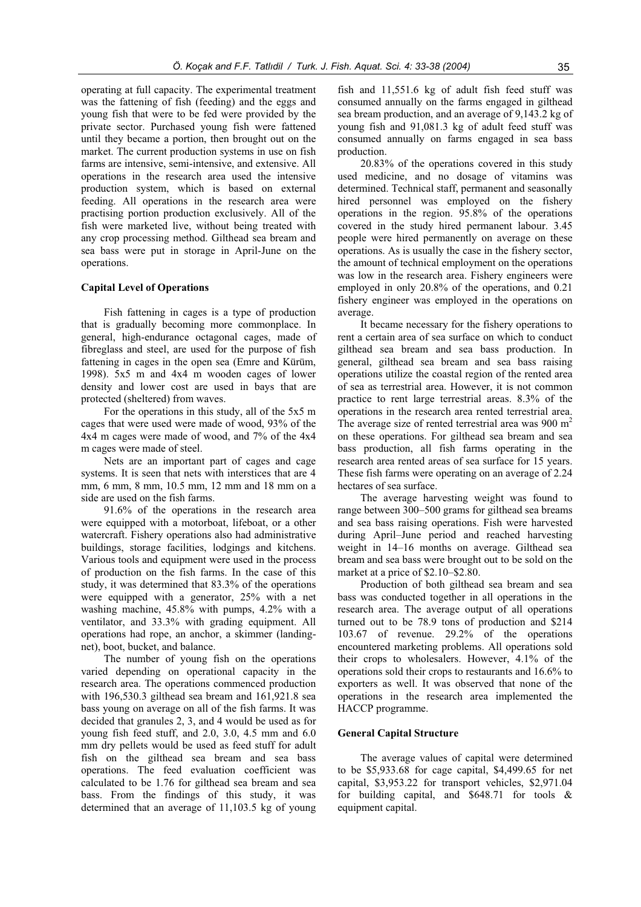operating at full capacity. The experimental treatment was the fattening of fish (feeding) and the eggs and young fish that were to be fed were provided by the private sector. Purchased young fish were fattened until they became a portion, then brought out on the market. The current production systems in use on fish farms are intensive, semi-intensive, and extensive. All operations in the research area used the intensive production system, which is based on external feeding. All operations in the research area were practising portion production exclusively. All of the fish were marketed live, without being treated with any crop processing method. Gilthead sea bream and sea bass were put in storage in April-June on the operations.

## **Capital Level of Operations**

Fish fattening in cages is a type of production that is gradually becoming more commonplace. In general, high-endurance octagonal cages, made of fibreglass and steel, are used for the purpose of fish fattening in cages in the open sea (Emre and Kürüm, 1998). 5x5 m and 4x4 m wooden cages of lower density and lower cost are used in bays that are protected (sheltered) from waves.

For the operations in this study, all of the 5x5 m cages that were used were made of wood, 93% of the 4x4 m cages were made of wood, and 7% of the 4x4 m cages were made of steel.

Nets are an important part of cages and cage systems. It is seen that nets with interstices that are 4 mm, 6 mm, 8 mm, 10.5 mm, 12 mm and 18 mm on a side are used on the fish farms.

91.6% of the operations in the research area were equipped with a motorboat, lifeboat, or a other watercraft. Fishery operations also had administrative buildings, storage facilities, lodgings and kitchens. Various tools and equipment were used in the process of production on the fish farms. In the case of this study, it was determined that 83.3% of the operations were equipped with a generator, 25% with a net washing machine, 45.8% with pumps, 4.2% with a ventilator, and 33.3% with grading equipment. All operations had rope, an anchor, a skimmer (landingnet), boot, bucket, and balance.

The number of young fish on the operations varied depending on operational capacity in the research area. The operations commenced production with 196,530.3 gilthead sea bream and 161,921.8 sea bass young on average on all of the fish farms. It was decided that granules 2, 3, and 4 would be used as for young fish feed stuff, and 2.0, 3.0, 4.5 mm and 6.0 mm dry pellets would be used as feed stuff for adult fish on the gilthead sea bream and sea bass operations. The feed evaluation coefficient was calculated to be 1.76 for gilthead sea bream and sea bass. From the findings of this study, it was determined that an average of 11,103.5 kg of young

fish and 11,551.6 kg of adult fish feed stuff was consumed annually on the farms engaged in gilthead sea bream production, and an average of 9,143.2 kg of young fish and 91,081.3 kg of adult feed stuff was consumed annually on farms engaged in sea bass production.

20.83% of the operations covered in this study used medicine, and no dosage of vitamins was determined. Technical staff, permanent and seasonally hired personnel was employed on the fishery operations in the region. 95.8% of the operations covered in the study hired permanent labour. 3.45 people were hired permanently on average on these operations. As is usually the case in the fishery sector, the amount of technical employment on the operations was low in the research area. Fishery engineers were employed in only 20.8% of the operations, and 0.21 fishery engineer was employed in the operations on average.

It became necessary for the fishery operations to rent a certain area of sea surface on which to conduct gilthead sea bream and sea bass production. In general, gilthead sea bream and sea bass raising operations utilize the coastal region of the rented area of sea as terrestrial area. However, it is not common practice to rent large terrestrial areas. 8.3% of the operations in the research area rented terrestrial area. The average size of rented terrestrial area was  $900 \text{ m}^2$ on these operations. For gilthead sea bream and sea bass production, all fish farms operating in the research area rented areas of sea surface for 15 years. These fish farms were operating on an average of 2.24 hectares of sea surface.

The average harvesting weight was found to range between 300–500 grams for gilthead sea breams and sea bass raising operations. Fish were harvested during April–June period and reached harvesting weight in 14–16 months on average. Gilthead sea bream and sea bass were brought out to be sold on the market at a price of \$2.10–\$2.80.

Production of both gilthead sea bream and sea bass was conducted together in all operations in the research area. The average output of all operations turned out to be 78.9 tons of production and \$214 103.67 of revenue. 29.2% of the operations encountered marketing problems. All operations sold their crops to wholesalers. However, 4.1% of the operations sold their crops to restaurants and 16.6% to exporters as well. It was observed that none of the operations in the research area implemented the HACCP programme.

#### **General Capital Structure**

The average values of capital were determined to be \$5,933.68 for cage capital, \$4,499.65 for net capital, \$3,953.22 for transport vehicles, \$2,971.04 for building capital, and \$648.71 for tools & equipment capital.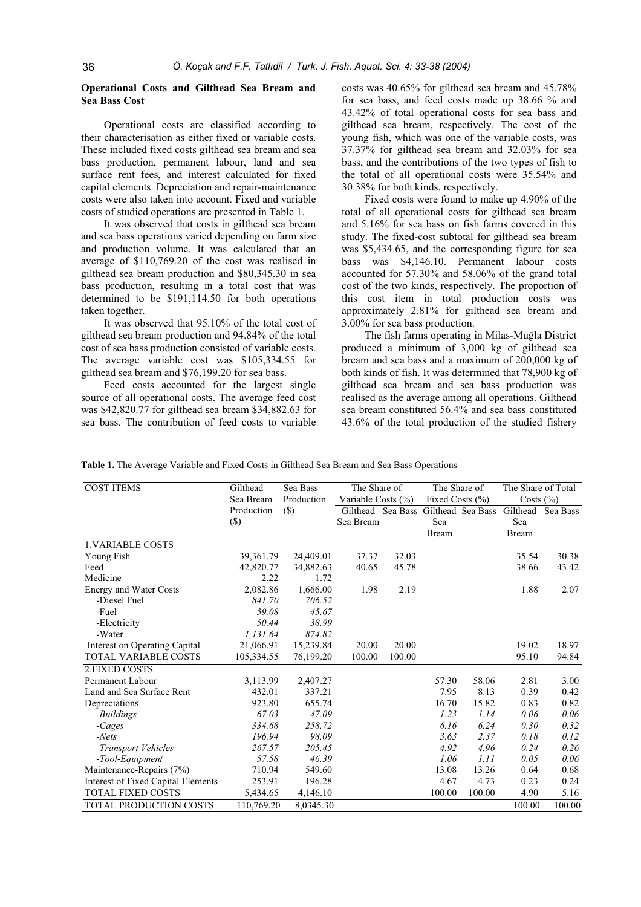## **Operational Costs and Gilthead Sea Bream and Sea Bass Cost**

Operational costs are classified according to their characterisation as either fixed or variable costs. These included fixed costs gilthead sea bream and sea bass production, permanent labour, land and sea surface rent fees, and interest calculated for fixed capital elements. Depreciation and repair-maintenance costs were also taken into account. Fixed and variable costs of studied operations are presented in Table 1.

It was observed that costs in gilthead sea bream and sea bass operations varied depending on farm size and production volume. It was calculated that an average of \$110,769.20 of the cost was realised in gilthead sea bream production and \$80,345.30 in sea bass production, resulting in a total cost that was determined to be \$191,114.50 for both operations taken together.

It was observed that 95.10% of the total cost of gilthead sea bream production and 94.84% of the total cost of sea bass production consisted of variable costs. The average variable cost was \$105,334.55 for gilthead sea bream and \$76,199.20 for sea bass.

Feed costs accounted for the largest single source of all operational costs. The average feed cost was \$42,820.77 for gilthead sea bream \$34,882.63 for sea bass. The contribution of feed costs to variable costs was 40.65% for gilthead sea bream and 45.78% for sea bass, and feed costs made up 38.66 % and 43.42% of total operational costs for sea bass and gilthead sea bream, respectively. The cost of the young fish, which was one of the variable costs, was 37.37% for gilthead sea bream and 32.03% for sea bass, and the contributions of the two types of fish to the total of all operational costs were 35.54% and 30.38% for both kinds, respectively.

Fixed costs were found to make up 4.90% of the total of all operational costs for gilthead sea bream and 5.16% for sea bass on fish farms covered in this study. The fixed-cost subtotal for gilthead sea bream was \$5,434.65, and the corresponding figure for sea bass was \$4,146.10. Permanent labour costs accounted for 57.30% and 58.06% of the grand total cost of the two kinds, respectively. The proportion of this cost item in total production costs was approximately 2.81% for gilthead sea bream and 3.00% for sea bass production.

The fish farms operating in Milas-Muğla District produced a minimum of 3,000 kg of gilthead sea bream and sea bass and a maximum of 200,000 kg of both kinds of fish. It was determined that 78,900 kg of gilthead sea bream and sea bass production was realised as the average among all operations. Gilthead sea bream constituted 56.4% and sea bass constituted 43.6% of the total production of the studied fishery

| Table 1. The Average Variable and Fixed Costs in Gilthead Sea Bream and Sea Bass Operations |
|---------------------------------------------------------------------------------------------|
|---------------------------------------------------------------------------------------------|

| <b>COST ITEMS</b>                  | Gilthead    | Sea Bass   | The Share of<br>Variable Costs $(\% )$ |                   | The Share of        |                   | The Share of Total |          |
|------------------------------------|-------------|------------|----------------------------------------|-------------------|---------------------|-------------------|--------------------|----------|
|                                    | Sea Bream   | Production |                                        |                   | Fixed Costs $(\% )$ |                   | Costs $(\%)$       |          |
|                                    | Production  | (S)        |                                        | Gilthead Sea Bass |                     | Gilthead Sea Bass | Gilthead           | Sea Bass |
|                                    | $(\$)$      |            | Sea Bream                              |                   | Sea                 |                   | Sea                |          |
|                                    |             |            |                                        |                   | <b>Bream</b>        |                   | <b>Bream</b>       |          |
| <b>1. VARIABLE COSTS</b>           |             |            |                                        |                   |                     |                   |                    |          |
| Young Fish                         | 39, 361. 79 | 24,409.01  | 37.37                                  | 32.03             |                     |                   | 35.54              | 30.38    |
| Feed                               | 42,820.77   | 34,882.63  | 40.65                                  | 45.78             |                     |                   | 38.66              | 43.42    |
| Medicine                           | 2.22        | 1.72       |                                        |                   |                     |                   |                    |          |
| <b>Energy and Water Costs</b>      | 2,082.86    | 1,666.00   | 1.98                                   | 2.19              |                     |                   | 1.88               | 2.07     |
| -Diesel Fuel                       | 841.70      | 706.52     |                                        |                   |                     |                   |                    |          |
| -Fuel                              | 59.08       | 45.67      |                                        |                   |                     |                   |                    |          |
| -Electricity                       | 50.44       | 38.99      |                                        |                   |                     |                   |                    |          |
| -Water                             | 1.131.64    | 874.82     |                                        |                   |                     |                   |                    |          |
| Interest on Operating Capital      | 21,066.91   | 15,239.84  | 20.00                                  | 20.00             |                     |                   | 19.02              | 18.97    |
| TOTAL VARIABLE COSTS               | 105,334.55  | 76,199.20  | 100.00                                 | 100.00            |                     |                   | 95.10              | 94.84    |
| 2. FIXED COSTS                     |             |            |                                        |                   |                     |                   |                    |          |
| Permanent Labour                   | 3,113.99    | 2,407.27   |                                        |                   | 57.30               | 58.06             | 2.81               | 3.00     |
| Land and Sea Surface Rent          | 432.01      | 337.21     |                                        |                   | 7.95                | 8.13              | 0.39               | 0.42     |
| Depreciations                      | 923.80      | 655.74     |                                        |                   | 16.70               | 15.82             | 0.83               | 0.82     |
| -Buildings                         | 67.03       | 47.09      |                                        |                   | 1.23                | 1.14              | 0.06               | 0.06     |
| -Cages                             | 334.68      | 258.72     |                                        |                   | 6.16                | 6.24              | 0.30               | 0.32     |
| $- Nets$                           | 196.94      | 98.09      |                                        |                   | 3.63                | 2.37              | 0.18               | 0.12     |
| -Transport Vehicles                | 267.57      | 205.45     |                                        |                   | 4.92                | 4.96              | 0.24               | 0.26     |
| -Tool-Equipment                    | 57.58       | 46.39      |                                        |                   | 1.06                | 1.11              | 0.05               | 0.06     |
| Maintenance-Repairs (7%)           | 710.94      | 549.60     |                                        |                   | 13.08               | 13.26             | 0.64               | 0.68     |
| Interest of Fixed Capital Elements | 253.91      | 196.28     |                                        |                   | 4.67                | 4.73              | 0.23               | 0.24     |
| <b>TOTAL FIXED COSTS</b>           | 5,434.65    | 4,146.10   |                                        |                   | 100.00              | 100.00            | 4.90               | 5.16     |
| TOTAL PRODUCTION COSTS             | 110,769.20  | 8,0345.30  |                                        |                   |                     |                   | 100.00             | 100.00   |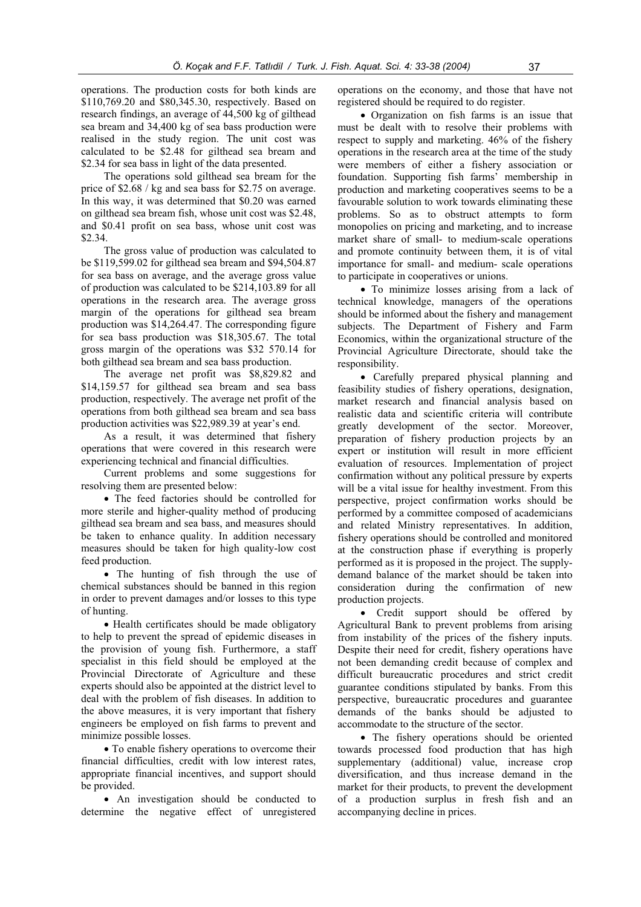operations. The production costs for both kinds are \$110,769.20 and \$80,345.30, respectively. Based on research findings, an average of 44,500 kg of gilthead sea bream and 34,400 kg of sea bass production were realised in the study region. The unit cost was calculated to be \$2.48 for gilthead sea bream and \$2.34 for sea bass in light of the data presented.

The operations sold gilthead sea bream for the price of \$2.68 / kg and sea bass for \$2.75 on average. In this way, it was determined that \$0.20 was earned on gilthead sea bream fish, whose unit cost was \$2.48, and \$0.41 profit on sea bass, whose unit cost was \$2.34.

The gross value of production was calculated to be \$119,599.02 for gilthead sea bream and \$94,504.87 for sea bass on average, and the average gross value of production was calculated to be \$214,103.89 for all operations in the research area. The average gross margin of the operations for gilthead sea bream production was \$14,264.47. The corresponding figure for sea bass production was \$18,305.67. The total gross margin of the operations was \$32 570.14 for both gilthead sea bream and sea bass production.

The average net profit was \$8,829.82 and \$14,159.57 for gilthead sea bream and sea bass production, respectively. The average net profit of the operations from both gilthead sea bream and sea bass production activities was \$22,989.39 at year's end.

As a result, it was determined that fishery operations that were covered in this research were experiencing technical and financial difficulties.

Current problems and some suggestions for resolving them are presented below:

• The feed factories should be controlled for more sterile and higher-quality method of producing gilthead sea bream and sea bass, and measures should be taken to enhance quality. In addition necessary measures should be taken for high quality-low cost feed production.

• The hunting of fish through the use of chemical substances should be banned in this region in order to prevent damages and/or losses to this type of hunting.

x Health certificates should be made obligatory to help to prevent the spread of epidemic diseases in the provision of young fish. Furthermore, a staff specialist in this field should be employed at the Provincial Directorate of Agriculture and these experts should also be appointed at the district level to deal with the problem of fish diseases. In addition to the above measures, it is very important that fishery engineers be employed on fish farms to prevent and minimize possible losses.

• To enable fishery operations to overcome their financial difficulties, credit with low interest rates, appropriate financial incentives, and support should be provided.

• An investigation should be conducted to determine the negative effect of unregistered operations on the economy, and those that have not registered should be required to do register.

• Organization on fish farms is an issue that must be dealt with to resolve their problems with respect to supply and marketing. 46% of the fishery operations in the research area at the time of the study were members of either a fishery association or foundation. Supporting fish farms' membership in production and marketing cooperatives seems to be a favourable solution to work towards eliminating these problems. So as to obstruct attempts to form monopolies on pricing and marketing, and to increase market share of small- to medium-scale operations and promote continuity between them, it is of vital importance for small- and medium- scale operations to participate in cooperatives or unions.

• To minimize losses arising from a lack of technical knowledge, managers of the operations should be informed about the fishery and management subjects. The Department of Fishery and Farm Economics, within the organizational structure of the Provincial Agriculture Directorate, should take the responsibility.

• Carefully prepared physical planning and feasibility studies of fishery operations, designation, market research and financial analysis based on realistic data and scientific criteria will contribute greatly development of the sector. Moreover, preparation of fishery production projects by an expert or institution will result in more efficient evaluation of resources. Implementation of project confirmation without any political pressure by experts will be a vital issue for healthy investment. From this perspective, project confirmation works should be performed by a committee composed of academicians and related Ministry representatives. In addition, fishery operations should be controlled and monitored at the construction phase if everything is properly performed as it is proposed in the project. The supplydemand balance of the market should be taken into consideration during the confirmation of new production projects.

• Credit support should be offered by Agricultural Bank to prevent problems from arising from instability of the prices of the fishery inputs. Despite their need for credit, fishery operations have not been demanding credit because of complex and difficult bureaucratic procedures and strict credit guarantee conditions stipulated by banks. From this perspective, bureaucratic procedures and guarantee demands of the banks should be adjusted to accommodate to the structure of the sector.

• The fishery operations should be oriented towards processed food production that has high supplementary (additional) value, increase crop diversification, and thus increase demand in the market for their products, to prevent the development of a production surplus in fresh fish and an accompanying decline in prices.